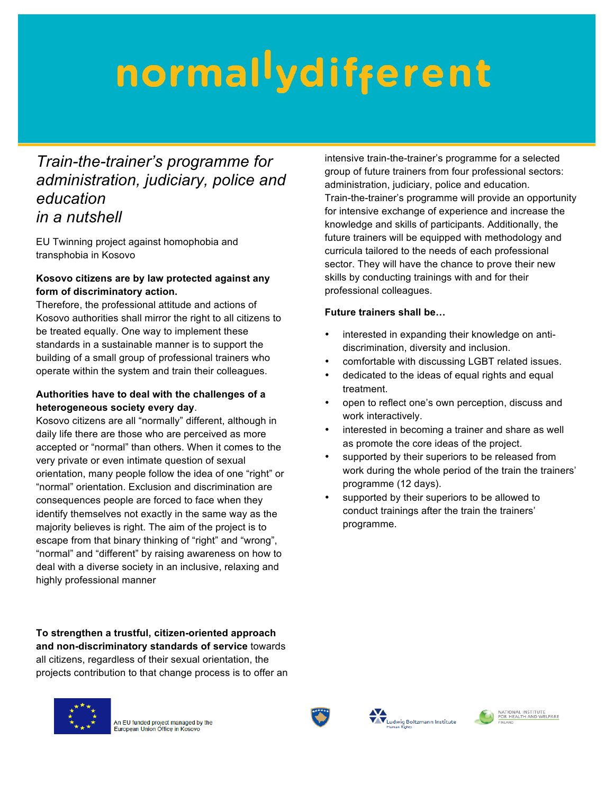# normallydifferent

### *Train-the-trainer's programme for administration, judiciary, police and education in a nutshell*

EU Twinning project against homophobia and transphobia in Kosovo

#### **Kosovo citizens are by law protected against any form of discriminatory action.**

Therefore, the professional attitude and actions of Kosovo authorities shall mirror the right to all citizens to be treated equally. One way to implement these standards in a sustainable manner is to support the building of a small group of professional trainers who operate within the system and train their colleagues.

#### **Authorities have to deal with the challenges of a heterogeneous society every day**.

Kosovo citizens are all "normally" different, although in daily life there are those who are perceived as more accepted or "normal" than others. When it comes to the very private or even intimate question of sexual orientation, many people follow the idea of one "right" or "normal" orientation. Exclusion and discrimination are consequences people are forced to face when they identify themselves not exactly in the same way as the majority believes is right. The aim of the project is to escape from that binary thinking of "right" and "wrong", "normal" and "different" by raising awareness on how to deal with a diverse society in an inclusive, relaxing and highly professional manner

**To strengthen a trustful, citizen-oriented approach and non-discriminatory standards of service** towards all citizens, regardless of their sexual orientation, the projects contribution to that change process is to offer an



An EU funded project managed by the<br>European Union Office in Kosovo

intensive train-the-trainer's programme for a selected group of future trainers from four professional sectors: administration, judiciary, police and education. Train-the-trainer's programme will provide an opportunity for intensive exchange of experience and increase the knowledge and skills of participants. Additionally, the future trainers will be equipped with methodology and curricula tailored to the needs of each professional sector. They will have the chance to prove their new skills by conducting trainings with and for their professional colleagues.

#### **Future trainers shall be…**

- interested in expanding their knowledge on antidiscrimination, diversity and inclusion.
- comfortable with discussing LGBT related issues.
- dedicated to the ideas of equal rights and equal treatment.
- open to reflect one's own perception, discuss and work interactively.
- interested in becoming a trainer and share as well as promote the core ideas of the project.
- supported by their superiors to be released from work during the whole period of the train the trainers' programme (12 days).
- supported by their superiors to be allowed to conduct trainings after the train the trainers' programme.